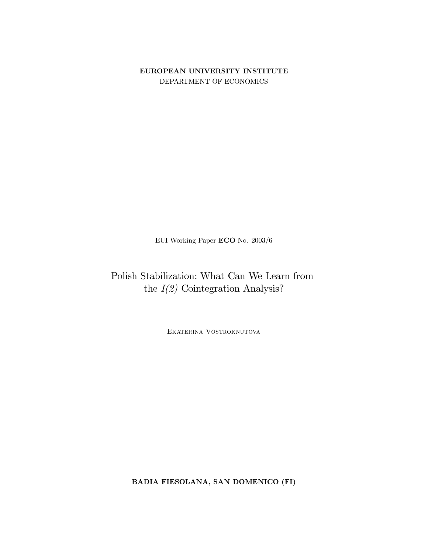# EUROPEAN UNIVERSITY INSTITUTE DEPARTMENT OF ECONOMICS

EUI Working Paper  $\mathbf{ECO}$  No. 2003/6

Polish Stabilization: What Can We Learn from the  $I(2)$  Cointegration Analysis?

EKATERINA VOSTROKNUTOVA

BADIA FIESOLANA, SAN DOMENICO (FI)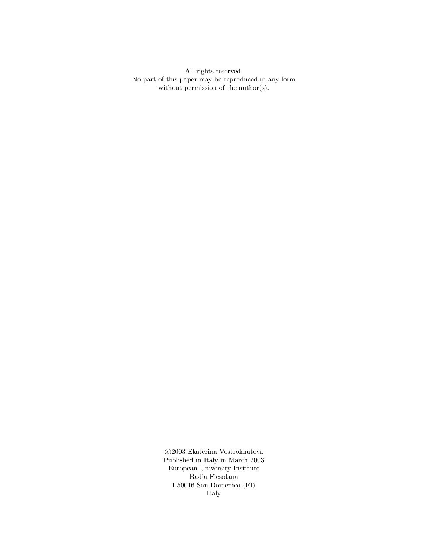All rights reserved. No part of this paper may be reproduced in any form without permission of the  $\text{author}(s)$ .

> $\odot\!2003$ Ekaterina Vostroknutova Published in Italy in March  $2003$ European University Institute Badia Fiesolana I-50016 San Domenico (FI) Italy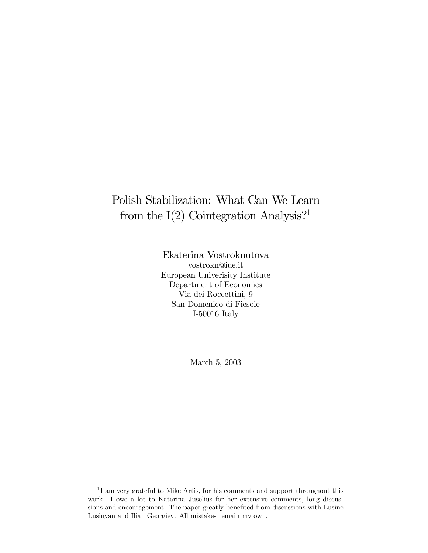# Polish Stabilization: What Can We Learn from the  $I(2)$  Cointegration Analysis?<sup>1</sup>

Ekaterina Vostroknutova vostrokn@iue.it European Univerisity Institute Department of Economics Via dei Roccettini, 9 San Domenico di Fiesole I-50016 Italy

March 5, 2003

 $1$ I am very grateful to Mike Artis, for his comments and support throughout this work. I owe a lot to Katarina Juselius for her extensive comments, long discussions and encouragement. The paper greatly benefited from discussions with Lusine Lusinyan and Ilian Georgiev. All mistakes remain my own.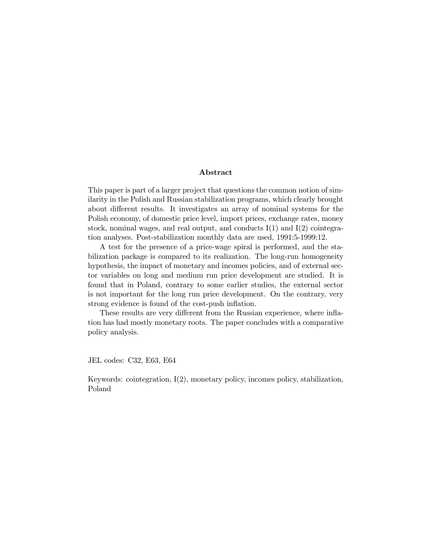# Abstract

This paper is part of a larger project that questions the common notion of similarity in the Polish and Russian stabilization programs, which clearly brought about different results. It investigates an array of nominal systems for the Polish economy, of domestic price level, import prices, exchange rates, money stock, nominal wages, and real output, and conducts  $I(1)$  and  $I(2)$  cointegration analyses. Post-stabilization monthly data are used, 1991:5-1999:12.

A test for the presence of a price-wage spiral is performed, and the stabilization package is compared to its realization. The long-run homogeneity hypothesis, the impact of monetary and incomes policies, and of external sector variables on long and medium run price development are studied. It is found that in Poland, contrary to some earlier studies, the external sector is not important for the long run price development. On the contrary, very strong evidence is found of the cost-push inflation.

These results are very different from the Russian experience, where inflation has had mostly monetary roots. The paper concludes with a comparative policy analysis.

JEL codes: C32, E63, E64

Keywords: cointegration, I(2), monetary policy, incomes policy, stabilization, Poland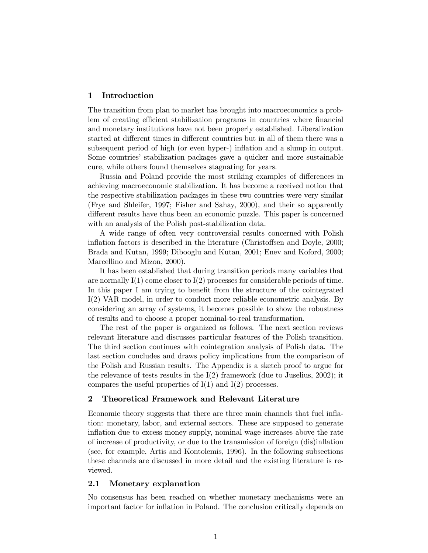# 1 Introduction

The transition from plan to market has brought into macroeconomics a problem of creating efficient stabilization programs in countries where financial and monetary institutions have not been properly established. Liberalization started at different times in different countries but in all of them there was a subsequent period of high (or even hyper-) inflation and a slump in output. Some countries' stabilization packages gave a quicker and more sustainable cure, while others found themselves stagnating for years.

Russia and Poland provide the most striking examples of differences in achieving macroeconomic stabilization. It has become a received notion that the respective stabilization packages in these two countries were very similar (Frye and Shleifer, 1997; Fisher and Sahay, 2000), and their so apparently different results have thus been an economic puzzle. This paper is concerned with an analysis of the Polish post-stabilization data.

A wide range of often very controversial results concerned with Polish inflation factors is described in the literature (Christoffsen and Doyle, 2000; Brada and Kutan, 1999; Dibooglu and Kutan, 2001; Enev and Koford, 2000; Marcellino and Mizon, 2000).

It has been established that during transition periods many variables that are normally  $I(1)$  come closer to  $I(2)$  processes for considerable periods of time. In this paper I am trying to benefit from the structure of the cointegrated I(2) VAR model, in order to conduct more reliable econometric analysis. By considering an array of systems, it becomes possible to show the robustness of results and to choose a proper nominal-to-real transformation.

The rest of the paper is organized as follows. The next section reviews relevant literature and discusses particular features of the Polish transition. The third section continues with cointegration analysis of Polish data. The last section concludes and draws policy implications from the comparison of the Polish and Russian results. The Appendix is a sketch proof to argue for the relevance of tests results in the  $I(2)$  framework (due to Juselius, 2002); it compares the useful properties of  $I(1)$  and  $I(2)$  processes.

# 2 Theoretical Framework and Relevant Literature

Economic theory suggests that there are three main channels that fuel inflation: monetary, labor, and external sectors. These are supposed to generate inflation due to excess money supply, nominal wage increases above the rate of increase of productivity, or due to the transmission of foreign (dis)inflation (see, for example, Artis and Kontolemis, 1996). In the following subsections these channels are discussed in more detail and the existing literature is reviewed.

# 2.1 Monetary explanation

No consensus has been reached on whether monetary mechanisms were an important factor for inflation in Poland. The conclusion critically depends on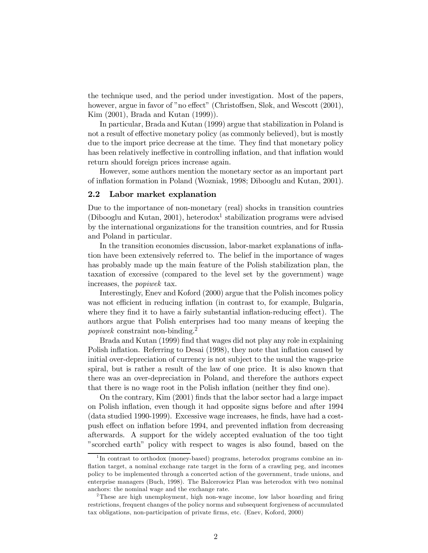the technique used, and the period under investigation. Most of the papers, however, argue in favor of "no effect" (Christoffsen, Sløk, and Wescott (2001), Kim (2001), Brada and Kutan (1999)).

In particular, Brada and Kutan (1999) argue that stabilization in Poland is not a result of effective monetary policy (as commonly believed), but is mostly due to the import price decrease at the time. They find that monetary policy has been relatively ineffective in controlling inflation, and that inflation would return should foreign prices increase again.

However, some authors mention the monetary sector as an important part of inflation formation in Poland (Wozniak, 1998; Dibooglu and Kutan, 2001).

# 2.2 Labor market explanation

Due to the importance of non-monetary (real) shocks in transition countries (Dibooglu and Kutan, 2001), heterodox<sup>1</sup> stabilization programs were advised by the international organizations for the transition countries, and for Russia and Poland in particular.

In the transition economies discussion, labor-market explanations of inflation have been extensively referred to. The belief in the importance of wages has probably made up the main feature of the Polish stabilization plan, the taxation of excessive (compared to the level set by the government) wage increases, the popiwek tax.

Interestingly, Enev and Koford (2000) argue that the Polish incomes policy was not efficient in reducing inflation (in contrast to, for example, Bulgaria, where they find it to have a fairly substantial inflation-reducing effect). The authors argue that Polish enterprises had too many means of keeping the popiwek constraint non-binding.2

Brada and Kutan (1999) find that wages did not play any role in explaining Polish inflation. Referring to Desai (1998), they note that inflation caused by initial over-depreciation of currency is not subject to the usual the wage-price spiral, but is rather a result of the law of one price. It is also known that there was an over-depreciation in Poland, and therefore the authors expect that there is no wage root in the Polish inflation (neither they find one).

On the contrary, Kim (2001) finds that the labor sector had a large impact on Polish inflation, even though it had opposite signs before and after 1994 (data studied 1990-1999). Excessive wage increases, he finds, have had a costpush effect on inflation before 1994, and prevented inflation from decreasing afterwards. A support for the widely accepted evaluation of the too tight "scorched earth" policy with respect to wages is also found, based on the

<sup>&</sup>lt;sup>1</sup>In contrast to orthodox (money-based) programs, heterodox programs combine an inflation target, a nominal exchange rate target in the form of a crawling peg, and incomes policy to be implemented through a concerted action of the government, trade unions, and enterprise managers (Buch, 1998). The Balcerowicz Plan was heterodox with two nominal anchors: the nominal wage and the exchange rate.

<sup>&</sup>lt;sup>2</sup>These are high unemployment, high non-wage income, low labor hoarding and firing restrictions, frequent changes of the policy norms and subsequent forgiveness of accumulated tax obligations, non-participation of private firms, etc. (Enev, Koford, 2000)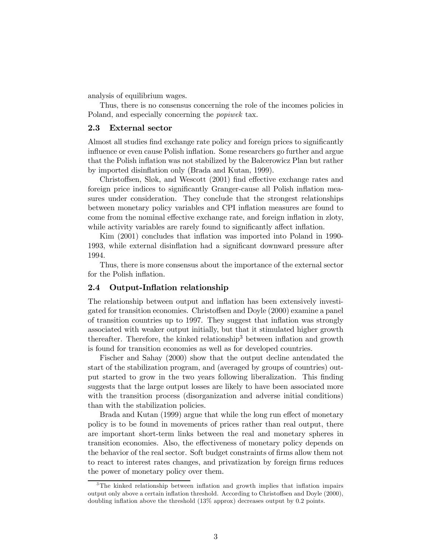analysis of equilibrium wages.

Thus, there is no consensus concerning the role of the incomes policies in Poland, and especially concerning the popiwek tax.

# 2.3 External sector

Almost all studies find exchange rate policy and foreign prices to significantly influence or even cause Polish inflation. Some researchers go further and argue that the Polish inflation was not stabilized by the Balcerowicz Plan but rather by imported disinflation only (Brada and Kutan, 1999).

Christoffsen, Sløk, and Wescott (2001) find effective exchange rates and foreign price indices to significantly Granger-cause all Polish inflation measures under consideration. They conclude that the strongest relationships between monetary policy variables and CPI inflation measures are found to come from the nominal effective exchange rate, and foreign inflation in zloty, while activity variables are rarely found to significantly affect inflation.

Kim (2001) concludes that inflation was imported into Poland in 1990- 1993, while external disinflation had a significant downward pressure after 1994.

Thus, there is more consensus about the importance of the external sector for the Polish inflation.

# 2.4 Output-Inflation relationship

The relationship between output and inflation has been extensively investigated for transition economies. Christoffsen and Doyle (2000) examine a panel of transition countries up to 1997. They suggest that inflation was strongly associated with weaker output initially, but that it stimulated higher growth thereafter. Therefore, the kinked relationship<sup>3</sup> between inflation and growth is found for transition economies as well as for developed countries.

Fischer and Sahay (2000) show that the output decline antendated the start of the stabilization program, and (averaged by groups of countries) output started to grow in the two years following liberalization. This finding suggests that the large output losses are likely to have been associated more with the transition process (disorganization and adverse initial conditions) than with the stabilization policies.

Brada and Kutan (1999) argue that while the long run effect of monetary policy is to be found in movements of prices rather than real output, there are important short-term links between the real and monetary spheres in transition economies. Also, the effectiveness of monetary policy depends on the behavior of the real sector. Soft budget constraints of firms allow them not to react to interest rates changes, and privatization by foreign firms reduces the power of monetary policy over them.

<sup>&</sup>lt;sup>3</sup>The kinked relationship between inflation and growth implies that inflation impairs output only above a certain inflation threshold. According to Christoffsen and Doyle (2000), doubling inflation above the threshold (13% approx) decreases output by 0.2 points.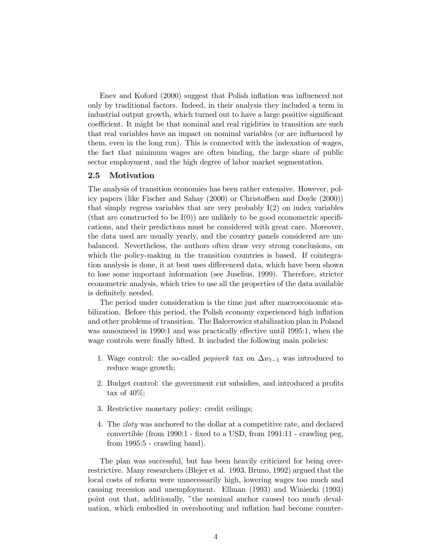Enev and Koford (2000) suggest that Polish inflation was influenced not only by traditional factors. Indeed, in their analysis they included a term in industrial output growth, which turned out to have a large positive significant coefficient. It might be that nominal and real rigidities in transition are such that real variables have an impact on nominal variables (or are influenced by them, even in the long run). This is connected with the indexation of wages, the fact that minimum wages are often binding, the large share of public sector employment, and the high degree of labor market segmentation.

### 2.5 Motivation

The analysis of transition economies has been rather extensive. However, policy papers (like Fischer and Sahay (2000) or Christoffsen and Doyle (2000)) that simply regress variables that are very probably  $I(2)$  on index variables (that are constructed to be  $I(0)$ ) are unlikely to be good econometric specifications, and their predictions must be considered with great care. Moreover, the data used are usually yearly, and the country panels considered are unbalanced. Nevertheless, the authors often draw very strong conclusions, on which the policy-making in the transition countries is based. If cointegration analysis is done, it at best uses differenced data, which have been shown to lose some important information (see Juselius, 1999). Therefore, stricter econometric analysis, which tries to use all the properties of the data available is definitely needed.

The period under consideration is the time just after macroeconomic stabilization. Before this period, the Polish economy experienced high inflation and other problems of transition. The Balcerowicz stabilization plan in Poland was announced in 1990:1 and was practically effective until 1995:1, when the wage controls were finally lifted. It included the following main policies:

- 1. Wage control: the so-called *popiwer* tax on  $\Delta w_{t-1}$  was introduced to reduce wage growth;
- 2. Budget control: the government cut subsidies, and introduced a profits tax of  $40\%$ ;
- 3. Restrictive monetary policy: credit ceilings;
- 4. The zloty was anchored to the dollar at a competitive rate, and declared convertible (from 1990:1 - fixed to a USD, from 1991:11 - crawling peg, from 1995:5 - crawling band).

The plan was successful, but has been heavily criticized for being overrestrictive. Many researchers (Blejer et al. 1993, Bruno, 1992) argued that the local costs of reform were unnecessarily high, lowering wages too much and causing recession and unemployment. Ellman (1993) and Winiecki (1993) point out that, additionally, "the nominal anchor caused too much devaluation, which embodied in overshooting and inflation had become counter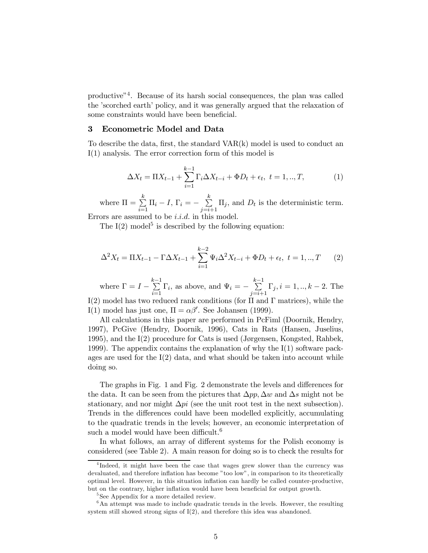productive"4. Because of its harsh social consequences, the plan was called the 'scorched earth' policy, and it was generally argued that the relaxation of some constraints would have been beneficial.

#### 3 Econometric Model and Data

To describe the data, first, the standard  $VAR(k)$  model is used to conduct an I(1) analysis. The error correction form of this model is

$$
\Delta X_t = \Pi X_{t-1} + \sum_{i=1}^{k-1} \Gamma_i \Delta X_{t-i} + \Phi D_t + \epsilon_t, \ t = 1, ..., T,
$$
 (1)

where  $\Pi = \sum_{k=1}^{k}$  $\sum_{i=1}^{k} \Pi_i - I, \ \Gamma_i = - \sum_{j=i+1}^{k}$  $\sum_{j=i+1} \Pi_j$ , and  $D_t$  is the deterministic term.

Errors are assumed to be  $i.i.d.$  in this model.

The  $I(2)$  model<sup>5</sup> is described by the following equation:

$$
\Delta^2 X_t = \Pi X_{t-1} - \Gamma \Delta X_{t-1} + \sum_{i=1}^{k-2} \Psi_i \Delta^2 X_{t-i} + \Phi D_t + \epsilon_t, \ t = 1, ..., T \tag{2}
$$

where  $\Gamma = I - \sum_{i=1}^{k-1}$  $\sum_{i=1}^{k-1} \Gamma_i$ , as above, and  $\Psi_i = -\sum_{j=i+1}^{k-1} \Gamma_j$  $\sum_{j=i+1} \Gamma_j, i = 1, ..., k-2$ . The I(2) model has two reduced rank conditions (for  $\Pi$  and  $\Gamma$  matrices), while the I(1) model has just one,  $\Pi = \alpha \beta'$ . See Johansen (1999).

All calculations in this paper are performed in PcFiml (Doornik, Hendry, 1997), PcGive (Hendry, Doornik, 1996), Cats in Rats (Hansen, Juselius, 1995), and the I(2) procedure for Cats is used (Jørgensen, Kongsted, Rahbek, 1999). The appendix contains the explanation of why the I(1) software packages are used for the  $I(2)$  data, and what should be taken into account while doing so.

The graphs in Fig. 1 and Fig. 2 demonstrate the levels and differences for the data. It can be seen from the pictures that  $\Delta pp$ ,  $\Delta w$  and  $\Delta s$  might not be stationary, and nor might  $\Delta pi$  (see the unit root test in the next subsection). Trends in the differences could have been modelled explicitly, accumulating to the quadratic trends in the levels; however, an economic interpretation of such a model would have been difficult.<sup>6</sup>

In what follows, an array of different systems for the Polish economy is considered (see Table 2). A main reason for doing so is to check the results for

<sup>&</sup>lt;sup>4</sup>Indeed, it might have been the case that wages grew slower than the currency was devaluated, and therefore inflation has become "too low", in comparison to its theoretically optimal level. However, in this situation inflation can hardly be called counter-productive, but on the contrary, higher inflation would have been beneficial for output growth.

<sup>&</sup>lt;sup>5</sup>See Appendix for a more detailed review.

 $6$ An attempt was made to include quadratic trends in the levels. However, the resulting system still showed strong signs of I(2), and therefore this idea was abandoned.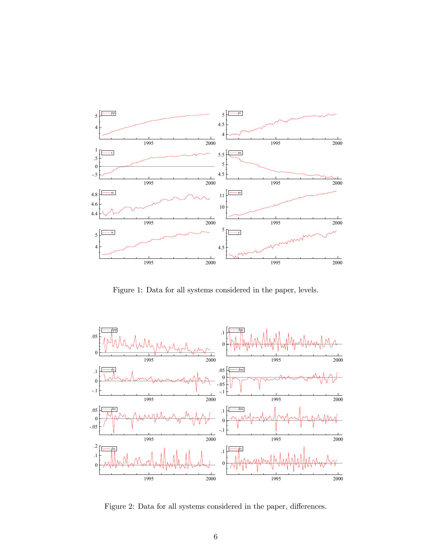

Figure 1: Data for all systems considered in the paper, levels.



Figure 2: Data for all systems considered in the paper, differences.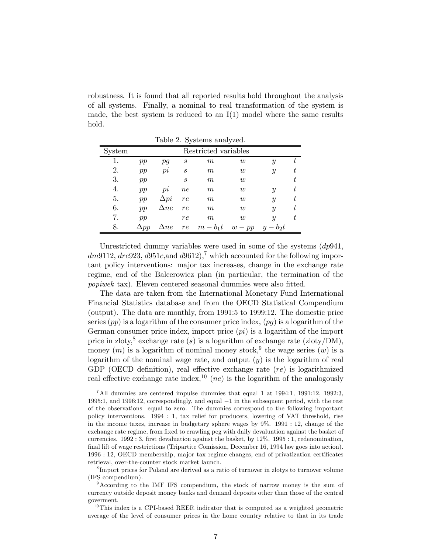robustness. It is found that all reported results hold throughout the analysis of all systems. Finally, a nominal to real transformation of the system is made, the best system is reduced to an  $I(1)$  model where the same results hold.

| Table 2. Dystellis allalyzed. |             |                      |                  |          |                  |                             |   |  |  |  |
|-------------------------------|-------------|----------------------|------------------|----------|------------------|-----------------------------|---|--|--|--|
| System                        |             | Restricted variables |                  |          |                  |                             |   |  |  |  |
|                               | pp          | pq                   | $\boldsymbol{s}$ | m        | $\boldsymbol{w}$ | Y                           | t |  |  |  |
| 2.                            | pp          | $p_{l}$              | $\boldsymbol{s}$ | m        | w                | Y                           | t |  |  |  |
| 3.                            | pp          |                      | $\boldsymbol{s}$ | m        | w                |                             | t |  |  |  |
| 4.                            | pp          | $p_l$                | n e              | m        | w                | Y                           | t |  |  |  |
| 5.                            | pp          | $\Delta pi$          | re               | m        | w                | $\mathcal{Y}$               | t |  |  |  |
| 6.                            | pp          | $\Delta ne$          | re               | m        | w                | $\boldsymbol{y}$            | t |  |  |  |
| 7.                            | pp          |                      | re               | m        | w                | Y                           | t |  |  |  |
| 8.                            | $\Delta pp$ | $\Delta ne$          | re               | $m-b_1t$ | $w - pp$         | $-b_2t$<br>$\boldsymbol{y}$ |   |  |  |  |

Table 2. Systems analyzed.

Unrestricted dummy variables were used in some of the systems  $(dp941,$  $dm9112, dre923, d951c, and d9612, d961c$  which accounted for the following important policy interventions: major tax increases, change in the exchange rate regime, end of the Balcerowicz plan (in particular, the termination of the popiwek tax). Eleven centered seasonal dummies were also fitted.

The data are taken from the International Monetary Fund International Financial Statistics database and from the OECD Statistical Compendium (output). The data are monthly, from 1991:5 to 1999:12. The domestic price series  $(pp)$  is a logarithm of the consumer price index,  $(pq)$  is a logarithm of the German consumer price index, import price  $pi$  is a logarithm of the import price in zloty,<sup>8</sup> exchange rate (s) is a logarithm of exchange rate (zloty/DM), money  $(m)$  is a logarithm of nominal money stock,<sup>9</sup> the wage series  $(w)$  is a logarithm of the nominal wage rate, and output  $(y)$  is the logarithm of real GDP (OECD definition), real effective exchange rate  $(re)$  is logarithmized real effective exchange rate index,  $10(ne)$  is the logarithm of the analogously

<sup>&</sup>lt;sup>7</sup>All dummies are centered impulse dummies that equal 1 at 1994:1, 1991:12, 1992:3. 1995:1, and 1996:12, correspondingly, and equal −1 in the subsequent period, with the rest of the observations equal to zero. The dummies correspond to the following important policy interventions. 1994 : 1, tax relief for producers, lowering of VAT threshold, rise in the income taxes, increase in budgetary sphere wages by 9%. 1991 : 12, change of the exchange rate regime, from fixed to crawling peg with daily devaluation against the basket of currencies. 1992 : 3, first devaluation against the basket, by 12%. 1995 : 1, redenomination, final lift of wage restrictions (Tripartite Comission, December 16, 1994 law goes into action). 1996 : 12, OECD membership, major tax regime changes, end of privatization certificates retrieval, over-the-counter stock market launch.

<sup>8</sup> Import prices for Poland are derived as a ratio of turnover in zlotys to turnover volume (IFS compendium).

<sup>&</sup>lt;sup>9</sup>According to the IMF IFS compendium, the stock of narrow money is the sum of currency outside deposit money banks and demand deposits other than those of the central goverment.

 $10$ This index is a CPI-based REER indicator that is computed as a weighted geometric average of the level of consumer prices in the home country relative to that in its trade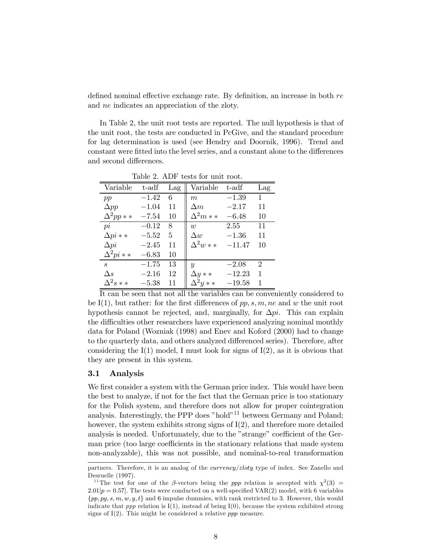defined nominal effective exchange rate. By definition, an increase in both re and ne indicates an appreciation of the zloty.

In Table 2, the unit root tests are reported. The null hypothesis is that of the unit root, the tests are conducted in PcGive, and the standard procedure for lag determination is used (see Hendry and Doornik, 1996). Trend and constant were fitted into the level series, and a constant alone to the differences and second differences.

| Variable        | t-adf   | Lag | Variable         | t-adf    | Lag                         |  |  |  |  |
|-----------------|---------|-----|------------------|----------|-----------------------------|--|--|--|--|
| pp              | $-1.42$ | 6   | $\boldsymbol{m}$ | $-1.39$  | 1                           |  |  |  |  |
| $\Delta pp$     | $-1.04$ | 11  | $\Delta m$       | $-2.17$  | 11                          |  |  |  |  |
| $\Delta^2 pp**$ | $-7.54$ | 10  | $\Delta^2 m**$   | $-6.48$  | 10                          |  |  |  |  |
| pi              | $-0.12$ | 8   | $\overline{w}$   | 2.55     | 11                          |  |  |  |  |
| $\Delta pi$ * * | $-5.52$ | 5   | $\Delta w$       | $-1.36$  | 11                          |  |  |  |  |
| $\Delta pi$     | $-2.45$ | 11  | $\Delta^2 w**$   | $-11.47$ | 10                          |  |  |  |  |
| $\Delta^2 pi**$ | $-6.83$ | 10  |                  |          |                             |  |  |  |  |
| S               | $-1.75$ | 13  | $\boldsymbol{y}$ | $-2.08$  | $\mathcal{D}_{\mathcal{L}}$ |  |  |  |  |
| $\Delta s$      | $-2.16$ | 12  | $\Delta y$ * *   | $-12.23$ | 1                           |  |  |  |  |
| $\Delta^2s$ * * | $-5.38$ | 11  | $\Delta^2 y**$   | $-19.58$ | 1                           |  |  |  |  |

Table 2. ADF tests for unit root.

It can be seen that not all the variables can be conveniently considered to be I(1), but rather: for the first differences of  $pp, s, m, ne$  and w the unit root hypothesis cannot be rejected, and, marginally, for  $\Delta pi$ . This can explain the difficulties other researchers have experienced analyzing nominal monthly data for Poland (Wozniak (1998) and Enev and Koford (2000) had to change to the quarterly data, and others analyzed differenced series). Therefore, after considering the  $I(1)$  model, I must look for signs of  $I(2)$ , as it is obvious that they are present in this system.

#### 3.1 Analysis

We first consider a system with the German price index. This would have been the best to analyze, if not for the fact that the German price is too stationary for the Polish system, and therefore does not allow for proper cointegration analysis. Interestingly, the PPP does "hold"<sup>11</sup> between Germany and Poland; however, the system exhibits strong signs of  $I(2)$ , and therefore more detailed analysis is needed. Unfortunately, due to the "strange" coefficient of the German price (too large coefficients in the stationary relations that made system non-analyzable), this was not possible, and nominal-to-real transformation

partners. Therefore, it is an analog of the *currency/zloty* type of index. See Zanello and Desruelle (1997).

<sup>&</sup>lt;sup>11</sup>The test for one of the β-vectors being the ppp relation is accepted with  $\chi^2(3)$  =  $2.01[p = 0.57]$ . The tests were conducted on a well-specified VAR(2) model, with 6 variables  ${pp, pg, s, m, w, y, t}$  and 6 impulse dummies, with rank restricted to 3. However, this would indicate that *ppp* relation is  $I(1)$ , instead of being  $I(0)$ , because the system exhibited strong signs of  $I(2)$ . This might be considered a relative ppp measure.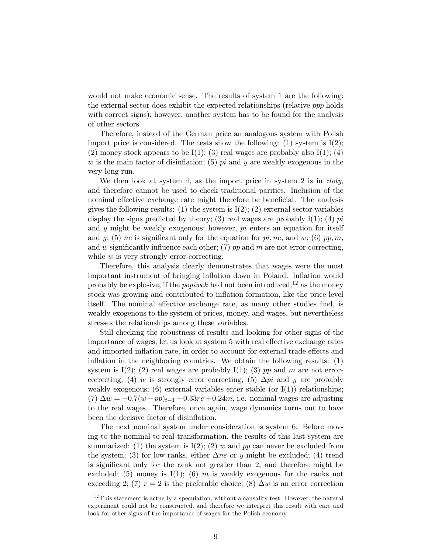would not make economic sense. The results of system 1 are the following: the external sector does exhibit the expected relationships (relative ppp holds with correct signs); however, another system has to be found for the analysis of other sectors.

Therefore, instead of the German price an analogous system with Polish import price is considered. The tests show the following:  $(1)$  system is  $I(2)$ ; (2) money stock appears to be  $I(1)$ ; (3) real wages are probably also  $I(1)$ ; (4) w is the main factor of disinflation; (5)  $pi$  and y are weakly exogenous in the very long run.

We then look at system 4, as the import price in system 2 is in *zloty*, and therefore cannot be used to check traditional parities. Inclusion of the nominal effective exchange rate might therefore be beneficial. The analysis gives the following results: (1) the system is  $I(2)$ ; (2) external sector variables display the signs predicted by theory; (3) real wages are probably  $I(1)$ ; (4)  $pi$ and y might be weakly exogenous; however,  $pi$  enters an equation for itself and y; (5) ne is significant only for the equation for  $pi$ , ne, and w; (6) pp, m, and w significantly influence each other;  $(7)$  pp and m are not error-correcting, while  $w$  is very strongly error-correcting.

Therefore, this analysis clearly demonstrates that wages were the most important instrument of bringing inflation down in Poland. Inflation would probably be explosive, if the *popiwer* had not been introduced,  $12$  as the money stock was growing and contributed to inflation formation, like the price level itself. The nominal effective exchange rate, as many other studies find, is weakly exogenous to the system of prices, money, and wages, but nevertheless stresses the relationships among these variables.

Still checking the robustness of results and looking for other signs of the importance of wages, let us look at system 5 with real effective exchange rates and imported inflation rate, in order to account for external trade effects and inflation in the neighboring countries. We obtain the following results: (1) system is  $I(2)$ ; (2) real wages are probably  $I(1)$ ; (3) pp and m are not errorcorrecting; (4) w is strongly error correcting; (5)  $\Delta pi$  and y are probably weakly exogenous; (6) external variables enter stable (or  $I(1)$ ) relationships; (7)  $\Delta w = -0.7(w - pp)_{t-1} - 0.33re + 0.24m$ , i.e. nominal wages are adjusting to the real wages. Therefore, once again, wage dynamics turns out to have been the decisive factor of disinflation.

The next nominal system under consideration is system 6. Before moving to the nominal-to-real transformation, the results of this last system are summarized: (1) the system is  $I(2)$ ; (2) w and pp can never be excluded from the system; (3) for low ranks, either  $\Delta ne$  or y might be excluded; (4) trend is significant only for the rank not greater than 2, and therefore might be excluded; (5) money is  $I(1)$ ; (6) m is weakly exogenous for the ranks not exceeding 2; (7)  $r = 2$  is the preferable choice; (8)  $\Delta w$  is an error correction

 $12$ This statement is actually a speculation, without a causality test. However, the natural experiment could not be constructed, and therefore we interpret this result with care and look for other signs of the importance of wages for the Polish economy.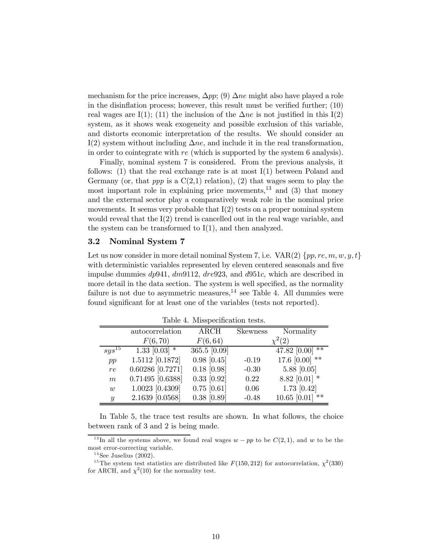mechanism for the price increases,  $\Delta pp$ ; (9)  $\Delta ne$  might also have played a role in the disinflation process; however, this result must be verified further; (10) real wages are I(1); (11) the inclusion of the  $\Delta ne$  is not justified in this I(2) system, as it shows weak exogeneity and possible exclusion of this variable, and distorts economic interpretation of the results. We should consider an I(2) system without including  $\Delta ne$ , and include it in the real transformation, in order to cointegrate with re (which is supported by the system 6 analysis).

Finally, nominal system 7 is considered. From the previous analysis, it follows:  $(1)$  that the real exchange rate is at most  $I(1)$  between Poland and Germany (or, that *ppp* is a  $C(2,1)$  relation), (2) that wages seem to play the most important role in explaining price movements, $^{13}$  and (3) that money and the external sector play a comparatively weak role in the nominal price movements. It seems very probable that  $I(2)$  tests on a proper nominal system would reveal that the  $I(2)$  trend is cancelled out in the real wage variable, and the system can be transformed to I(1), and then analyzed.

# 3.2 Nominal System 7

Let us now consider in more detail nominal System 7, i.e.  $VAR(2)$  { $pp, re, m, w, y, t$ } with deterministic variables represented by eleven centered seasonals and five impulse dummies dp941, dm9112, dre923, and d951c, which are described in more detail in the data section. The system is well specified, as the normality failure is not due to asymmetric measures,  $14$  see Table 4. All dummies were found significant for at least one of the variables (tests not reported).

|                  | autocorrelation    | $\rm{ARCH}$   | <b>Skewness</b> | Normality               |
|------------------|--------------------|---------------|-----------------|-------------------------|
|                  | F(6, 70)           | F(6, 64)      |                 | $\chi^2(2)$             |
| $sys^{15}$       | $1.33$ [0.03] $*$  | 365.5 [0.09]  |                 | **<br>47.82 [0.00]      |
| pp               | 1.5112 [0.1872]    | $0.98$ [0.45] | $-0.19$         | 17.6 $[0.00]$ **        |
| re               | $0.60286$ [0.7271] | $0.18$ [0.98] | $-0.30$         | $5.88$ [0.05]           |
| m                | $0.71495$ [0.6388] | $0.33$ [0.92] | 0.22            | 8.82 $[0.01]$ *         |
| $\overline{w}$   | 1.0023 [0.4309]    | $0.75$ [0.61] | 0.06            | $1.73$ [0.42]           |
| $\boldsymbol{y}$ | $2.1639$ [0.0568]  | $0.38$ [0.89] | $-0.48$         | $10.65$ [0.01]<br>$***$ |

Table 4. Misspecification tests.

In Table 5, the trace test results are shown. In what follows, the choice between rank of 3 and 2 is being made.

<sup>&</sup>lt;sup>13</sup>In all the systems above, we found real wages  $w - pp$  to be  $C(2, 1)$ , and w to be the most error-correcting variable.

 $14$  See Juselius (2002).

<sup>&</sup>lt;sup>15</sup>The system test statistics are distributed like  $F(150, 212)$  for autocorrelation,  $\chi^2(330)$ for ARCH, and  $\chi^2(10)$  for the normality test.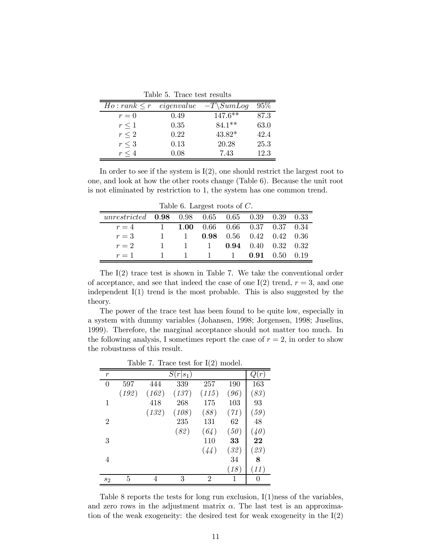| Tapic 9. Trace test resurts |            |            |      |  |  |  |  |
|-----------------------------|------------|------------|------|--|--|--|--|
| $Ho: rank \leq r$           | eigenvalue | $-T\∑_{q}$ | 95%  |  |  |  |  |
| $r=0$                       | 0.49       | $147.6***$ | 87.3 |  |  |  |  |
| $r \leq 1$                  | 0.35       | $84.1**$   | 63.0 |  |  |  |  |
| $r \leq 2$                  | 0.22       | 43.82*     | 42.4 |  |  |  |  |
| $r\leq 3$                   | 0.13       | 20.28      | 25.3 |  |  |  |  |
| $r \leq 4$                  | 0.08       | 7.43       | 12.3 |  |  |  |  |

Table 5. Trace test results

In order to see if the system is  $I(2)$ , one should restrict the largest root to one, and look at how the other roots change (Table 6). Because the unit root is not eliminated by restriction to 1, the system has one common trend.

Table 6. Largest roots of C.

| unrestricted $0.98$ $0.98$ $0.65$ $0.65$ $0.39$ $0.39$ $0.33$ |              |  |                                                                 |  |  |
|---------------------------------------------------------------|--------------|--|-----------------------------------------------------------------|--|--|
| $r=4$                                                         |              |  | $1$ 1.00 0.66 0.66 0.37 0.37 0.34                               |  |  |
| $r=3$                                                         | $\mathbf{1}$ |  | $1$ 0.98 0.56 0.42 0.42 0.36                                    |  |  |
| $r=2$                                                         |              |  | $1 \quad 1 \quad 1 \quad 0.94 \quad 0.40 \quad 0.32 \quad 0.32$ |  |  |
| $r=1$                                                         |              |  | $1 \quad 1 \quad 1 \quad 1 \quad 0.91 \quad 0.50 \quad 0.19$    |  |  |

The I(2) trace test is shown in Table 7. We take the conventional order of acceptance, and see that indeed the case of one I(2) trend,  $r = 3$ , and one independent I(1) trend is the most probable. This is also suggested by the theory.

The power of the trace test has been found to be quite low, especially in a system with dummy variables (Johansen, 1998; Jorgensen, 1998; Juselius, 1999). Therefore, the marginal acceptance should not matter too much. In the following analysis, I sometimes report the case of  $r = 2$ , in order to show the robustness of this result.

| Table 7. Trace test for $I(2)$ model. |  |
|---------------------------------------|--|
| $\alpha$ $\alpha$ $\beta$             |  |

| $\boldsymbol{r}$ |       |       | $S(r s_1)$ |                |      | Q(r)     |
|------------------|-------|-------|------------|----------------|------|----------|
| $\overline{0}$   | 597   | 444   | 339        | 257            | 190  | 163      |
|                  | (192) | (162) | (137)      | (115)          | (96) | (83)     |
| 1                |       | 418   | 268        | 175            | 103  | 93       |
|                  |       | (132) | (108)      | (88)           | (71) | (59)     |
| $\overline{2}$   |       |       | 235        | 131            | 62   | 48       |
|                  |       |       | (82)       | (64)           | (50) | (40)     |
| 3                |       |       |            | 110            | 33   | 22       |
|                  |       |       |            | (44)           | (32) | (23)     |
| 4                |       |       |            |                | 34   | 8        |
|                  |       |       |            |                | (18) | (11)     |
| $s_2$            | 5     | 4     | 3          | $\overline{2}$ | 1    | $\theta$ |

Table 8 reports the tests for long run exclusion,  $I(1)$ ness of the variables, and zero rows in the adjustment matrix  $\alpha$ . The last test is an approximation of the weak exogeneity: the desired test for weak exogeneity in the I(2)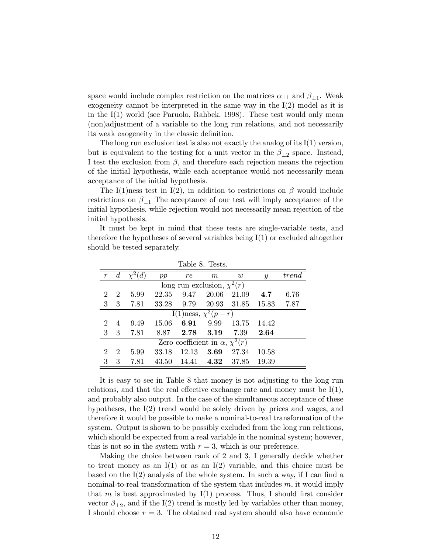space would include complex restriction on the matrices  $\alpha_{\perp 1}$  and  $\beta_{\perp 1}$ . Weak exogeneity cannot be interpreted in the same way in the  $I(2)$  model as it is in the I(1) world (see Paruolo, Rahbek, 1998). These test would only mean (non)adjustment of a variable to the long run relations, and not necessarily its weak exogeneity in the classic definition.

The long run exclusion test is also not exactly the analog of its I(1) version, but is equivalent to the testing for a unit vector in the  $\beta_{\perp 2}$  space. Instead, I test the exclusion from  $\beta$ , and therefore each rejection means the rejection of the initial hypothesis, while each acceptance would not necessarily mean acceptance of the initial hypothesis.

The I(1)ness test in I(2), in addition to restrictions on  $\beta$  would include restrictions on  $\beta_{11}$  The acceptance of our test will imply acceptance of the initial hypothesis, while rejection would not necessarily mean rejection of the initial hypothesis.

It must be kept in mind that these tests are single-variable tests, and therefore the hypotheses of several variables being I(1) or excluded altogether should be tested separately.

|                             | TANIA A' TANAN'                            |      |       |       |                                    |       |               |       |  |  |
|-----------------------------|--------------------------------------------|------|-------|-------|------------------------------------|-------|---------------|-------|--|--|
|                             | $\overline{d}$                             |      | pp    | re    | m                                  | w     | $\mathcal{Y}$ | trend |  |  |
|                             |                                            |      |       |       | long run exclusion, $\chi^2(r)$    |       |               |       |  |  |
| 2                           | $\overline{2}$                             | 5.99 | 22.35 | 9.47  | 20.06                              | 21.09 | 4.7           | 6.76  |  |  |
| 3                           | 3                                          | 7.81 | 33.28 | 9.79  | 20.93                              | 31.85 | 15.83         | 7.87  |  |  |
|                             |                                            |      |       |       | I(1)ness, $\overline{\chi^2(p-r)}$ |       |               |       |  |  |
| $\mathcal{D}_{\mathcal{L}}$ | $\overline{4}$                             | 9.49 | 15.06 | 6.91  | 9.99                               | 13.75 | 14.42         |       |  |  |
| 3                           | -3                                         | 7.81 | 8.87  | 2.78  | 3.19                               | 7.39  | 2.64          |       |  |  |
|                             | Zero coefficient in $\alpha$ , $\chi^2(r)$ |      |       |       |                                    |       |               |       |  |  |
| $\mathcal{D}_{\mathcal{L}}$ | $\overline{2}$                             | 5.99 | 33.18 | 12.13 | 3.69                               | 27.34 | 10.58         |       |  |  |
| 3                           | 3                                          | 7.81 | 43.50 | 14.41 | 4.32                               | 37.85 | 19.39         |       |  |  |

Table 8. Tests.

It is easy to see in Table 8 that money is not adjusting to the long run relations, and that the real effective exchange rate and money must be  $I(1)$ , and probably also output. In the case of the simultaneous acceptance of these hypotheses, the I(2) trend would be solely driven by prices and wages, and therefore it would be possible to make a nominal-to-real transformation of the system. Output is shown to be possibly excluded from the long run relations, which should be expected from a real variable in the nominal system; however, this is not so in the system with  $r = 3$ , which is our preference.

Making the choice between rank of 2 and 3, I generally decide whether to treat money as an  $I(1)$  or as an  $I(2)$  variable, and this choice must be based on the I(2) analysis of the whole system. In such a way, if I can find a nominal-to-real transformation of the system that includes  $m$ , it would imply that m is best approximated by  $I(1)$  process. Thus, I should first consider vector  $\beta_{\perp 2}$ , and if the I(2) trend is mostly led by variables other than money, I should choose  $r = 3$ . The obtained real system should also have economic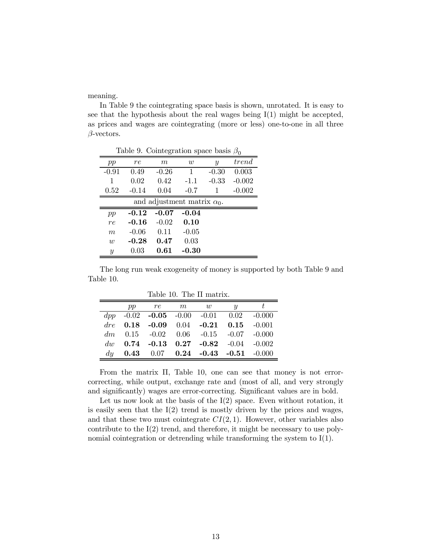meaning.

In Table 9 the cointegrating space basis is shown, unrotated. It is easy to see that the hypothesis about the real wages being  $I(1)$  might be accepted, as prices and wages are cointegrating (more or less) one-to-one in all three  $\beta$ -vectors.

Table 9. Cointegration space basis  $\beta_0$ 

| pp               | re         | m       | $\overline{w}$                     | $\boldsymbol{y}$ | trend    |
|------------------|------------|---------|------------------------------------|------------------|----------|
| $-0.91$          | 0.49       | $-0.26$ | 1                                  | $-0.30$          | 0.003    |
| 1                | 0.02       | 0.42    | $-1.1$                             | $-0.33$          | $-0.002$ |
| 0.52             | $-0.14$    | 0.04    | $-0.7$                             |                  | $-0.002$ |
|                  |            |         | and adjustment matrix $\alpha_0$ . |                  |          |
| pp               | $-0.12$    | $-0.07$ | $-0.04$                            |                  |          |
| re               | $-0.16$    | $-0.02$ | 0.10                               |                  |          |
| m                | $-0.06$    | 0.11    | $-0.05$                            |                  |          |
| $\overline{w}$   | $-0.28$    | 0.47    | 0.03                               |                  |          |
| $\boldsymbol{y}$ | $\rm 0.03$ | 0.61    | $-0.30$                            |                  |          |

The long run weak exogeneity of money is supported by both Table 9 and Table 10.

Table 10. The Π matrix.

|    | $pp \qquad re \qquad m \qquad w$ |                                                 | $\boldsymbol{u}$ |  |
|----|----------------------------------|-------------------------------------------------|------------------|--|
|    |                                  | $dpp$ -0.02 -0.05 -0.00 -0.01 0.02 -0.000       |                  |  |
|    |                                  | dre $0.18$ -0.09 $0.04$ -0.21 $0.15$ -0.001     |                  |  |
|    |                                  | $dm$ 0.15 -0.02 0.06 -0.15 -0.07 -0.000         |                  |  |
|    |                                  | dw $0.74$ -0.13 $0.27$ -0.82 -0.04 -0.002       |                  |  |
| du |                                  | <b>0.43</b> 0.07 <b>0.24</b> -0.43 -0.51 -0.000 |                  |  |

From the matrix Π, Table 10, one can see that money is not errorcorrecting, while output, exchange rate and (most of all, and very strongly and significantly) wages are error-correcting. Significant values are in bold.

Let us now look at the basis of the  $I(2)$  space. Even without rotation, it is easily seen that the  $I(2)$  trend is mostly driven by the prices and wages, and that these two must cointegrate  $CI(2,1)$ . However, other variables also contribute to the I(2) trend, and therefore, it might be necessary to use polynomial cointegration or detrending while transforming the system to I(1).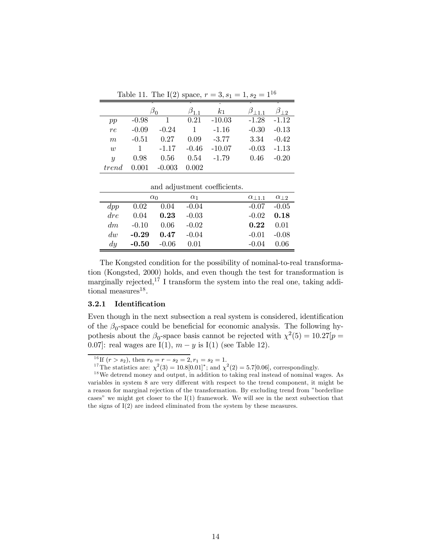|                  | $\hat{ }$ |          | $\overline{ }$ | $\overline{\phantom{a}}$ | $\sim$              |              |
|------------------|-----------|----------|----------------|--------------------------|---------------------|--------------|
|                  |           |          |                | k <sub>1</sub>           | $\beta_{\perp 1,1}$ | $\beta_{12}$ |
| pp               | $-0.98$   |          | 0.21           | $-10.03$                 | $-1.28$             | $-1.12$      |
| re               | $-0.09$   | $-0.24$  | 1              | $-1.16$                  | $-0.30$             | $-0.13$      |
| $\boldsymbol{m}$ | $-0.51$   | 0.27     | 0.09           | $-3.77$                  | 3.34                | $-0.42$      |
| $\overline{w}$   |           | $-1.17$  | $-0.46$        | $-10.07$                 | $-0.03$             | $-1.13$      |
| $\boldsymbol{y}$ | 0.98      | 0.56     | 0.54           | $-1.79$                  | 0.46                | $-0.20$      |
| trend            |           | $-0.003$ | 0.002          |                          |                     |              |

Table 11. The I(2) space,  $r = 3$ ,  $s_1 = 1$ ,  $s_2 = 1^{16}$ 

|             |            |               |            | and adjustment coefficients. |               |
|-------------|------------|---------------|------------|------------------------------|---------------|
|             | $\alpha_0$ |               | $\alpha_1$ | $\alpha$   1.1               | $\alpha_{12}$ |
| $\,dp\,p\,$ | 0.02       | $0.04 - 0.04$ |            | $-0.07$                      | $-0.05$       |
| $\,dr\,$    | 0.04       | $\bf 0.23$    | $-0.03$    | $-0.02$                      | 0.18          |
| dm          | $-0.10$    | 0.06          | $-0.02$    | 0.22                         | 0.01          |
| div         | $-0.29$    | 0.47          | $-0.04$    | $-0.01$                      | $-0.08$       |
| du          | $-0.50$    | $-0.06$       | 0.01       | $-0.04$                      | 0.06          |

The Kongsted condition for the possibility of nominal-to-real transformation (Kongsted, 2000) holds, and even though the test for transformation is marginally rejected,  $1^7$  I transform the system into the real one, taking additional measures $^{18}$ .

#### $3.2.1$ Identification

Even though in the next subsection a real system is considered, identification of the  $\beta_0$ -space could be beneficial for economic analysis. The following hypothesis about the  $\beta_0$ -space basis cannot be rejected with  $\chi^2(5) = 10.27[p =$ 0.07: real wages are I(1),  $m - y$  is I(1) (see Table 12).

<sup>&</sup>lt;sup>16</sup>If  $(r > s_2)$ , then  $r_0 = r - s_2 = 2$ ,  $r_1 = s_2 = 1$ .<br><sup>17</sup>The statistics are:  $\chi^2(3) = 10.8[0.01]^*$ ; and  $\chi^2(2) = 5.7[0.06]$ , correspondingly.

 $18$  We detrend money and output, in addition to taking real instead of nominal wages. As variables in system 8 are very different with respect to the trend component, it might be a reason for marginal rejection of the transformation. By excluding trend from "borderline cases" we might get closer to the  $I(1)$  framework. We will see in the next subsection that the signs of  $I(2)$  are indeed eliminated from the system by these measures.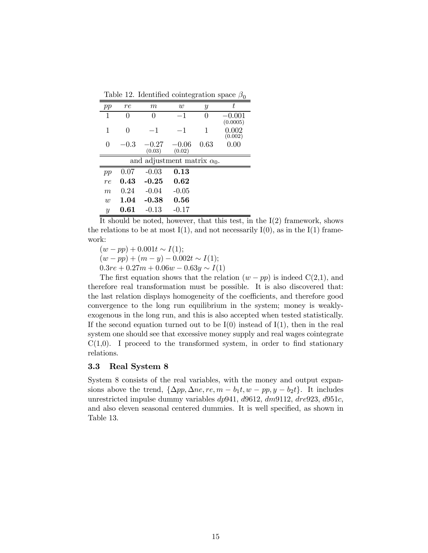Table 12. Identified cointegration space  $\beta_0$ 

| pp               | re       | $m\,$                              | $\boldsymbol{w}$  | Y                | t                    |
|------------------|----------|------------------------------------|-------------------|------------------|----------------------|
| 1                | $^{()}$  | $\left( \right)$                   | $-1$              | $\left( \right)$ | $-0.001$<br>(0.0005) |
| 1                | 0        | $-1$                               | -1                | 1                | 0.002<br>(0.002)     |
| $\left( \right)$ | $-0.3\,$ | $-0.27$<br>(0.03)                  | $-0.06$<br>(0.02) | 0.63             | 0.00                 |
|                  |          | and adjustment matrix $\alpha_0$ . |                   |                  |                      |
| pp               | 0.07     | $-0.03$                            | 0.13              |                  |                      |
| re               | 0.43     | $-0.25$                            | 0.62              |                  |                      |
| m                | 0.24     | $-0.04$                            | $-0.05$           |                  |                      |
| $\overline{w}$   | 1.04     | $-0.38$                            | 0.56              |                  |                      |
| $\boldsymbol{y}$ | 0.61     | -0.13                              | -0.17             |                  |                      |

It should be noted, however, that this test, in the  $I(2)$  framework, shows the relations to be at most  $I(1)$ , and not necessarily  $I(0)$ , as in the  $I(1)$  framework:

 $(w - pp) + 0.001t \sim I(1);$  $(w - pp) + (m - y) - 0.002t \sim I(1);$  $0.3re + 0.27m + 0.06w - 0.63y \sim I(1)$ 

The first equation shows that the relation  $(w - pp)$  is indeed  $C(2,1)$ , and therefore real transformation must be possible. It is also discovered that: the last relation displays homogeneity of the coefficients, and therefore good convergence to the long run equilibrium in the system; money is weaklyexogenous in the long run, and this is also accepted when tested statistically. If the second equation turned out to be  $I(0)$  instead of  $I(1)$ , then in the real system one should see that excessive money supply and real wages cointegrate  $C(1,0)$ . I proceed to the transformed system, in order to find stationary relations.

# 3.3 Real System 8

System 8 consists of the real variables, with the money and output expansions above the trend,  $\{\Delta pp, \Delta ne, re, m - b_1t, w - pp, y - b_2t\}$ . It includes unrestricted impulse dummy variables  $dp941, d9612, dm9112, dre923, d951c,$ and also eleven seasonal centered dummies. It is well specified, as shown in Table 13.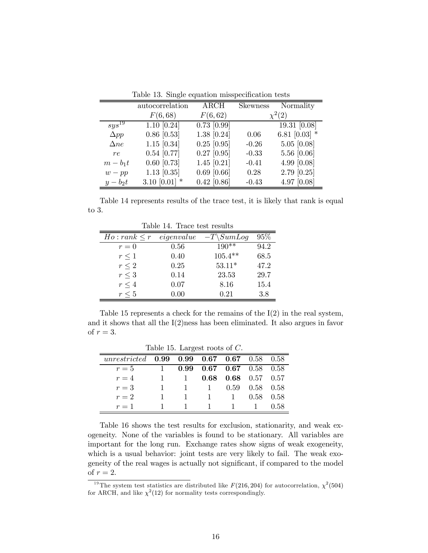|             | autocorrelation | <b>ARCH</b>   | <b>Skewness</b> | Normality       |
|-------------|-----------------|---------------|-----------------|-----------------|
|             | F(6,68)         | F(6,62)       |                 | $\chi^2(2)$     |
| $sys^{19}$  | $1.10$ [0.24]   | $0.73$ [0.99] |                 | 19.31 $[0.08]$  |
| $\Delta pp$ | $0.86$ [0.53]   | 1.38 [0.24]   | 0.06            | 6.81 $[0.03]$ * |
| $\Delta ne$ | $1.15$ [0.34]   | $0.25$ [0.95] | $-0.26$         | $5.05$ [0.08]   |
| re          | $0.54$ [0.77]   | $0.27$ [0.95] | $-0.33$         | 5.56 [0.06]     |
| $m-b_1t$    | $0.60$ [0.73]   | $1.45$ [0.21] | $-0.41$         | 4.99 [0.08]     |
| $w - pp$    | $1.13$ [0.35]   | $0.69$ [0.66] | 0.28            | 2.79 [0.25]     |
| $y-b_2t$    | 3.10 $[0.01]$ * | $0.42$ [0.86] | $-0.43$         | 4.97 [0.08]     |

Table 13. Single equation misspecification tests

Table 14 represents results of the trace test, it is likely that rank is equal to  $3$ .

| $Ho: rank \leq r$ | eigenvalue | $-T\setminus SumLog$ | 95%  |  |  |  |  |  |
|-------------------|------------|----------------------|------|--|--|--|--|--|
| $r=0$             | 0.56       | $190**$              | 94.2 |  |  |  |  |  |
| $r\leq 1$         | 0.40       | $105.4**$            | 68.5 |  |  |  |  |  |
| $r \leq 2$        | 0.25       | $53.11*$             | 47.2 |  |  |  |  |  |
| $r\leq 3$         | 0.14       | 23.53                | 29.7 |  |  |  |  |  |
| $r \leq 4$        | 0.07       | 8.16                 | 15.4 |  |  |  |  |  |
| $r \leq 5$        | 0.00       | 0.21                 | 3.8  |  |  |  |  |  |

Table 14. Trace test results

Table 15 represents a check for the remains of the  $I(2)$  in the real system, and it shows that all the  $I(2)$ ness has been eliminated. It also argues in favor of  $r=3$ .

| Table 15. Largest roots of $C$ . |      |      |      |                      |      |      |  |  |  |
|----------------------------------|------|------|------|----------------------|------|------|--|--|--|
| unrestricted                     | 0.99 | 0.99 | 0.67 | 0.67                 | 0.58 | 0.58 |  |  |  |
| $r=5$                            |      | O 99 |      | $0.67$ $0.67$ $0.58$ |      | 0.58 |  |  |  |
| $r=4$                            |      |      | 0.68 | 0.68                 | 0.57 | 0.57 |  |  |  |
| $r=3$                            |      |      |      | 0.59                 | 0.58 | 0.58 |  |  |  |
| $r=2$                            |      |      |      |                      | 0.58 | 0.58 |  |  |  |
| $r=1$                            |      |      |      |                      |      | በ 58 |  |  |  |

Table 16 shows the test results for exclusion, stationarity, and weak exogeneity. None of the variables is found to be stationary. All variables are important for the long run. Exchange rates show signs of weak exogeneity, which is a usual behavior: joint tests are very likely to fail. The weak exogeneity of the real wages is actually not significant, if compared to the model of  $r=2$ .

<sup>&</sup>lt;sup>19</sup>The system test statistics are distributed like  $F(216, 204)$  for autocorrelation,  $\chi^2$ (504) for ARCH, and like  $\chi^2(12)$  for normality tests correspondingly.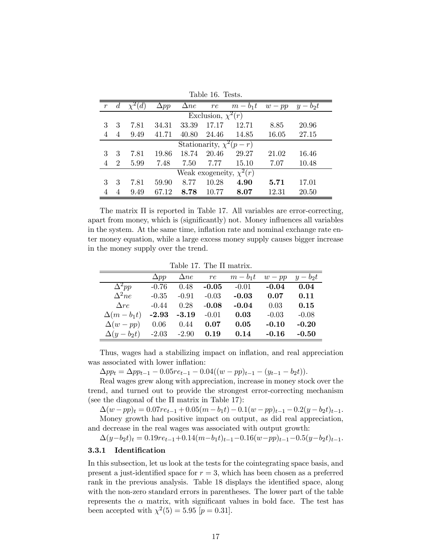|   | Table 16. Tests.             |      |             |             |                        |          |          |          |  |
|---|------------------------------|------|-------------|-------------|------------------------|----------|----------|----------|--|
|   | $\overline{d}$               | (d)  | $\Delta pp$ | $\Delta ne$ | re                     | $m-b_1t$ | $w - pp$ | $y-b_2t$ |  |
|   |                              |      |             |             | Exclusion, $\chi^2(r)$ |          |          |          |  |
| 3 | 3                            | 7.81 | 34.31       | 33.39       | 17.17                  | 12.71    | 8.85     | 20.96    |  |
| 4 | $\overline{4}$               | 9.49 | 41.71       | 40.80       | 24.46                  | 14.85    | 16.05    | 27.15    |  |
|   | Stationarity, $\chi^2(p-r)$  |      |             |             |                        |          |          |          |  |
| 3 | 3                            | 7.81 | 19.86       | 18.74       | 20.46                  | 29.27    | 21.02    | 16.46    |  |
|   | $\mathcal{D}$                | 5.99 | 7.48        | 7.50        | 7.77                   | 15.10    | 7.07     | 10.48    |  |
|   | Weak exogeneity, $\chi^2(r)$ |      |             |             |                        |          |          |          |  |
| 3 | 3                            | 7.81 | 59.90       | 8.77        | 10.28                  | 4.90     | 5.71     | 17.01    |  |
|   | 4                            | 9.49 | 67.12       | 8.78        | 10.77                  | 8.07     | 12.31    | 20.50    |  |

 $T<sub>1</sub>1.1 A<sub>6</sub>$ 

The matrix Π is reported in Table 17. All variables are error-correcting, apart from money, which is (significantly) not. Money influences all variables in the system. At the same time, inflation rate and nominal exchange rate enter money equation, while a large excess money supply causes bigger increase in the money supply over the trend.

#### Table 17. The Π matrix.

|                  | $\Delta pp$ | $\Delta ne$ | re      | $m-b_1t$ | $w - pp$ | $y-b_2t$ |
|------------------|-------------|-------------|---------|----------|----------|----------|
| $\Delta^2pp$     | $-0.76$     | 0.48        | $-0.05$ | $-0.01$  | $-0.04$  | 0.04     |
| $\Delta^2 n e$   | $-0.35$     | $-0.91$     | $-0.03$ | $-0.03$  | 0.07     | 0.11     |
| Are              | $-0.44$     | 0.28        | $-0.08$ | $-0.04$  | 0.03     | 0.15     |
| $\Delta(m-b_1t)$ | $-2.93$     | $-3.19$     | $-0.01$ | 0.03     | $-0.03$  | $-0.08$  |
| $\Delta(w - pp)$ | 0.06        | 0.44        | 0.07    | 0.05     | $-0.10$  | $-0.20$  |
| $\Delta(y-b_2t)$ | $-2.03$     | $-2.90$     | 0.19    | 0.14     | $-0.16$  | $-0.50$  |

Thus, wages had a stabilizing impact on inflation, and real appreciation was associated with lower inflation:

 $\Delta pp_t = \Delta pp_{t-1} - 0.05re_{t-1} - 0.04((w - pp)_{t-1} - (y_{t-1} - b_2t)).$ 

Real wages grew along with appreciation, increase in money stock over the trend, and turned out to provide the strongest error-correcting mechanism (see the diagonal of the  $\Pi$  matrix in Table 17):

 $\Delta(w - pp)_t = 0.07re_{t-1} + 0.05(m - b_1t) - 0.1(w - pp)_{t-1} - 0.2(y - b_2t)_{t-1}.$ 

Money growth had positive impact on output, as did real appreciation, and decrease in the real wages was associated with output growth:

 $\Delta(y-b_2t)_t = 0.19re_{t-1}+0.14(m-b_1t)_{t-1}-0.16(w-pp)_{t-1}-0.5(y-b_2t)_{t-1}.$ 

# 3.3.1 Identification

In this subsection, let us look at the tests for the cointegrating space basis, and present a just-identified space for  $r = 3$ , which has been chosen as a preferred rank in the previous analysis. Table 18 displays the identified space, along with the non-zero standard errors in parentheses. The lower part of the table represents the  $\alpha$  matrix, with significant values in bold face. The test has been accepted with  $\chi^2(5) = 5.95$  [ $p = 0.31$ ].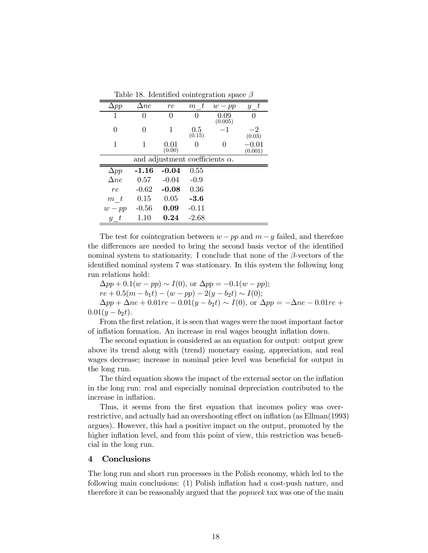| Table 18. Identified cointegration space $\beta$ |             |                                        |               |                 |                          |  |  |  |
|--------------------------------------------------|-------------|----------------------------------------|---------------|-----------------|--------------------------|--|--|--|
| $\Delta pp$                                      | $\Delta ne$ | re                                     | $m$ t         | $w - pp$        | $-t$<br>$\boldsymbol{y}$ |  |  |  |
| 1                                                |             | 0                                      |               | 0.09<br>(0.005) | 0                        |  |  |  |
| 0                                                | 0           | 1                                      | 0.5<br>(0.15) | $-1$            | $-2$<br>(0.03)           |  |  |  |
| 1                                                | 1           | 0.01<br>(0.00)                         |               |                 | 0.01<br>(0.001)          |  |  |  |
|                                                  |             | and adjustment coefficients $\alpha$ . |               |                 |                          |  |  |  |
| $\Delta pp$                                      | $-1.16$     | $-0.04$                                | 0.55          |                 |                          |  |  |  |
| $\Delta ne$                                      | 0.57        | $-0.04$                                | $-0.9$        |                 |                          |  |  |  |
| re                                               | $-0.62$     | $-0.08$                                | 0.36          |                 |                          |  |  |  |
| $m$ t                                            | 0.15        | 0.05                                   | $-3.6$        |                 |                          |  |  |  |
| $w - pp$                                         | $-0.56$     | 0.09                                   | $-0.11$       |                 |                          |  |  |  |
| $y$ t                                            | 1.10        | 0.24                                   | $-2.68$       |                 |                          |  |  |  |

The test for cointegration between  $w - pp$  and  $m - y$  failed, and therefore the differences are needed to bring the second basis vector of the identified nominal system to stationarity. I conclude that none of the  $\beta$ -vectors of the identified nominal system 7 was stationary. In this system the following long run relations hold:

 $\Delta pp + 0.1(w - pp) \sim I(0)$ , or  $\Delta pp = -0.1(w - pp)$ ;  $re + 0.5(m - b_1t) - (w - pp) - 2(y - b_2t) \sim I(0);$ 

 $\Delta pp + \Delta ne + 0.01re - 0.01(y - b_2t) \sim I(0)$ , or  $\Delta pp = -\Delta ne - 0.01re +$  $0.01(y - b_2t)$ .

From the first relation, it is seen that wages were the most important factor of inflation formation. An increase in real wages brought inflation down.

The second equation is considered as an equation for output: output grew above its trend along with (trend) monetary easing, appreciation, and real wages decrease; increase in nominal price level was beneficial for output in the long run.

The third equation shows the impact of the external sector on the inflation in the long run: real and especially nominal depreciation contributed to the increase in inflation.

Thus, it seems from the first equation that incomes policy was overrestrictive, and actually had an overshooting effect on inflation (as Ellman(1993) argues). However, this had a positive impact on the output, promoted by the higher inflation level, and from this point of view, this restriction was beneficial in the long run.

#### 4 Conclusions

The long run and short run processes in the Polish economy, which led to the following main conclusions: (1) Polish inflation had a cost-push nature, and therefore it can be reasonably argued that the *popiwek* tax was one of the main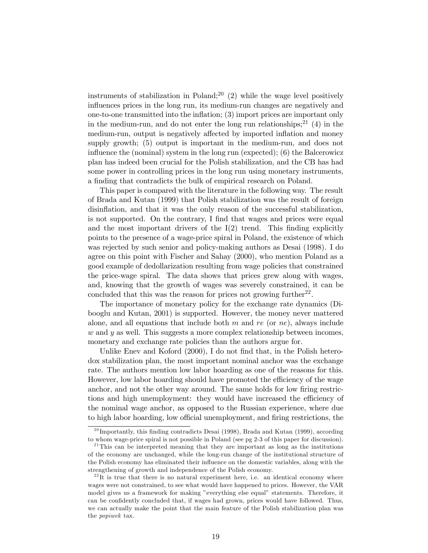instruments of stabilization in Poland;<sup>20</sup> (2) while the wage level positively influences prices in the long run, its medium-run changes are negatively and one-to-one transmitted into the inflation; (3) import prices are important only in the medium-run, and do not enter the long run relationships;<sup>21</sup> (4) in the medium-run, output is negatively affected by imported inflation and money supply growth; (5) output is important in the medium-run, and does not influence the (nominal) system in the long run (expected); (6) the Balcerowicz plan has indeed been crucial for the Polish stabilization, and the CB has had some power in controlling prices in the long run using monetary instruments, a finding that contradicts the bulk of empirical research on Poland.

This paper is compared with the literature in the following way. The result of Brada and Kutan (1999) that Polish stabilization was the result of foreign disinflation, and that it was the only reason of the successful stabilization, is not supported. On the contrary, I find that wages and prices were equal and the most important drivers of the  $I(2)$  trend. This finding explicitly points to the presence of a wage-price spiral in Poland, the existence of which was rejected by such senior and policy-making authors as Desai (1998). I do agree on this point with Fischer and Sahay (2000), who mention Poland as a good example of dedollarization resulting from wage policies that constrained the price-wage spiral. The data shows that prices grew along with wages, and, knowing that the growth of wages was severely constrained, it can be concluded that this was the reason for prices not growing further<sup>22</sup>.

The importance of monetary policy for the exchange rate dynamics (Dibooglu and Kutan, 2001) is supported. However, the money never mattered alone, and all equations that include both  $m$  and  $re$  (or  $ne$ ), always include  $w$  and  $y$  as well. This suggests a more complex relationship between incomes, monetary and exchange rate policies than the authors argue for.

Unlike Enev and Koford (2000), I do not find that, in the Polish heterodox stabilization plan, the most important nominal anchor was the exchange rate. The authors mention low labor hoarding as one of the reasons for this. However, low labor hoarding should have promoted the efficiency of the wage anchor, and not the other way around. The same holds for low firing restrictions and high unemployment: they would have increased the efficiency of the nominal wage anchor, as opposed to the Russian experience, where due to high labor hoarding, low official unemployment, and firing restrictions, the

 $^{20}$ Importantly, this finding contradicts Desai (1998), Brada and Kutan (1999), according to whom wage-price spiral is not possible in Poland (see pg 2-3 of this paper for discussion).

 $21$ <sup>21</sup>This can be interpreted meaning that they are important as long as the institutions of the economy are unchanged, while the long-run change of the institutional structure of the Polish economy has eliminated their influence on the domestic variables, along with the strengthening of growth and independence of the Polish economy.

 $22$ It is true that there is no natural experiment here, i.e. an identical economy where wages were not constrained, to see what would have happened to prices. However, the VAR model gives us a framework for making "everything else equal" statements. Therefore, it can be confidently concluded that, if wages had grown, prices would have followed. Thus, we can actually make the point that the main feature of the Polish stabilization plan was the popiwek tax.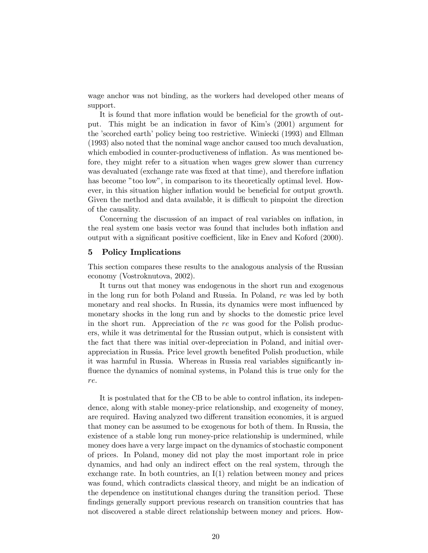wage anchor was not binding, as the workers had developed other means of support.

It is found that more inflation would be beneficial for the growth of output. This might be an indication in favor of Kim's (2001) argument for the 'scorched earth' policy being too restrictive. Winiecki (1993) and Ellman (1993) also noted that the nominal wage anchor caused too much devaluation, which embodied in counter-productiveness of inflation. As was mentioned before, they might refer to a situation when wages grew slower than currency was devaluated (exchange rate was fixed at that time), and therefore inflation has become "too low", in comparison to its theoretically optimal level. However, in this situation higher inflation would be beneficial for output growth. Given the method and data available, it is difficult to pinpoint the direction of the causality.

Concerning the discussion of an impact of real variables on inflation, in the real system one basis vector was found that includes both inflation and output with a significant positive coefficient, like in Enev and Koford (2000).

### 5 Policy Implications

This section compares these results to the analogous analysis of the Russian economy (Vostroknutova, 2002).

It turns out that money was endogenous in the short run and exogenous in the long run for both Poland and Russia. In Poland, re was led by both monetary and real shocks. In Russia, its dynamics were most influenced by monetary shocks in the long run and by shocks to the domestic price level in the short run. Appreciation of the re was good for the Polish producers, while it was detrimental for the Russian output, which is consistent with the fact that there was initial over-depreciation in Poland, and initial overappreciation in Russia. Price level growth benefited Polish production, while it was harmful in Russia. Whereas in Russia real variables significantly influence the dynamics of nominal systems, in Poland this is true only for the re.

It is postulated that for the CB to be able to control inflation, its independence, along with stable money-price relationship, and exogeneity of money, are required. Having analyzed two different transition economies, it is argued that money can be assumed to be exogenous for both of them. In Russia, the existence of a stable long run money-price relationship is undermined, while money does have a very large impact on the dynamics of stochastic component of prices. In Poland, money did not play the most important role in price dynamics, and had only an indirect effect on the real system, through the exchange rate. In both countries, an  $I(1)$  relation between money and prices was found, which contradicts classical theory, and might be an indication of the dependence on institutional changes during the transition period. These findings generally support previous research on transition countries that has not discovered a stable direct relationship between money and prices. How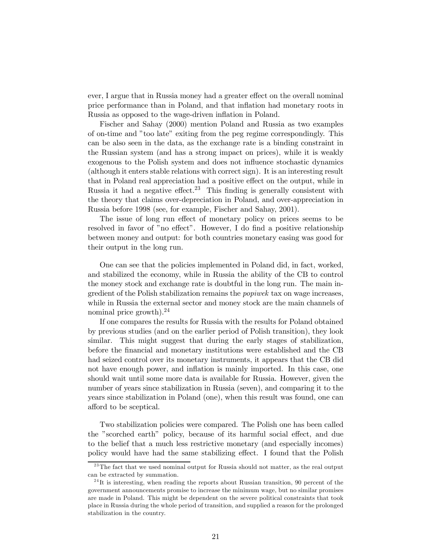ever, I argue that in Russia money had a greater effect on the overall nominal price performance than in Poland, and that inflation had monetary roots in Russia as opposed to the wage-driven inflation in Poland.

Fischer and Sahay (2000) mention Poland and Russia as two examples of on-time and "too late" exiting from the peg regime correspondingly. This can be also seen in the data, as the exchange rate is a binding constraint in the Russian system (and has a strong impact on prices), while it is weakly exogenous to the Polish system and does not influence stochastic dynamics (although it enters stable relations with correct sign). It is an interesting result that in Poland real appreciation had a positive effect on the output, while in Russia it had a negative effect.<sup>23</sup> This finding is generally consistent with the theory that claims over-depreciation in Poland, and over-appreciation in Russia before 1998 (see, for example, Fischer and Sahay, 2001).

The issue of long run effect of monetary policy on prices seems to be resolved in favor of "no effect". However, I do find a positive relationship between money and output: for both countries monetary easing was good for their output in the long run.

One can see that the policies implemented in Poland did, in fact, worked, and stabilized the economy, while in Russia the ability of the CB to control the money stock and exchange rate is doubtful in the long run. The main ingredient of the Polish stabilization remains the popiwek tax on wage increases, while in Russia the external sector and money stock are the main channels of nominal price growth).<sup>24</sup>

If one compares the results for Russia with the results for Poland obtained by previous studies (and on the earlier period of Polish transition), they look similar. This might suggest that during the early stages of stabilization, before the financial and monetary institutions were established and the CB had seized control over its monetary instruments, it appears that the CB did not have enough power, and inflation is mainly imported. In this case, one should wait until some more data is available for Russia. However, given the number of years since stabilization in Russia (seven), and comparing it to the years since stabilization in Poland (one), when this result was found, one can afford to be sceptical.

Two stabilization policies were compared. The Polish one has been called the "scorched earth" policy, because of its harmful social effect, and due to the belief that a much less restrictive monetary (and especially incomes) policy would have had the same stabilizing effect. I found that the Polish

 $23$ The fact that we used nominal output for Russia should not matter, as the real output can be extracted by summation.

 $^{24}$ It is interesting, when reading the reports about Russian transition, 90 percent of the government announcements promise to increase the minimum wage, but no similar promises are made in Poland. This might be dependent on the severe political constraints that took place in Russia during the whole period of transition, and supplied a reason for the prolonged stabilization in the country.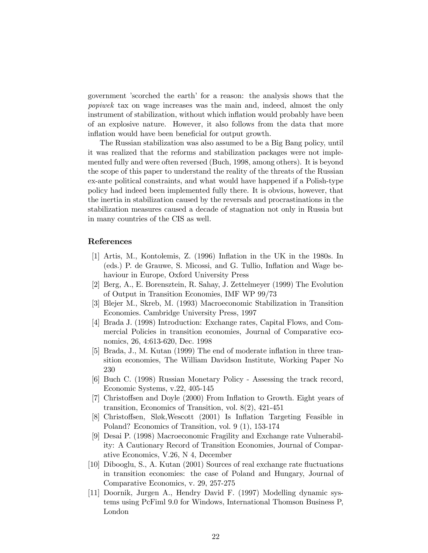government 'scorched the earth' for a reason: the analysis shows that the popiwek tax on wage increases was the main and, indeed, almost the only instrument of stabilization, without which inflation would probably have been of an explosive nature. However, it also follows from the data that more inflation would have been beneficial for output growth.

The Russian stabilization was also assumed to be a Big Bang policy, until it was realized that the reforms and stabilization packages were not implemented fully and were often reversed (Buch, 1998, among others). It is beyond the scope of this paper to understand the reality of the threats of the Russian ex-ante political constraints, and what would have happened if a Polish-type policy had indeed been implemented fully there. It is obvious, however, that the inertia in stabilization caused by the reversals and procrastinations in the stabilization measures caused a decade of stagnation not only in Russia but in many countries of the CIS as well.

# References

- [1] Artis, M., Kontolemis, Z. (1996) Inflation in the UK in the 1980s. In (eds.) P. de Grauwe, S. Micossi, and G. Tullio, Inflation and Wage behaviour in Europe, Oxford University Press
- [2] Berg, A., E. Borensztein, R. Sahay, J. Zettelmeyer (1999) The Evolution of Output in Transition Economies, IMF WP 99/73
- [3] Blejer M., Skreb, M. (1993) Macroeconomic Stabilization in Transition Economies. Cambridge University Press, 1997
- [4] Brada J. (1998) Introduction: Exchange rates, Capital Flows, and Commercial Policies in transition economies, Journal of Comparative economics, 26, 4:613-620, Dec. 1998
- [5] Brada, J., M. Kutan (1999) The end of moderate inflation in three transition economies, The William Davidson Institute, Working Paper No 230
- [6] Buch C. (1998) Russian Monetary Policy Assessing the track record, Economic Systems, v.22, 405-145
- [7] Christoffsen and Doyle (2000) From Inflation to Growth. Eight years of transition, Economics of Transition, vol. 8(2), 421-451
- [8] Christoffsen, Sløk,Wescott (2001) Is Inflation Targeting Feasible in Poland? Economics of Transition, vol. 9 (1), 153-174
- [9] Desai P. (1998) Macroeconomic Fragility and Exchange rate Vulnerability: A Cautionary Record of Transition Economies, Journal of Comparative Economics, V.26, N 4, December
- [10] Dibooglu, S., A. Kutan (2001) Sources of real exchange rate fluctuations in transition economies: the case of Poland and Hungary, Journal of Comparative Economics, v. 29, 257-275
- [11] Doornik, Jurgen A., Hendry David F. (1997) Modelling dynamic systems using PcFiml 9.0 for Windows, International Thomson Business P, London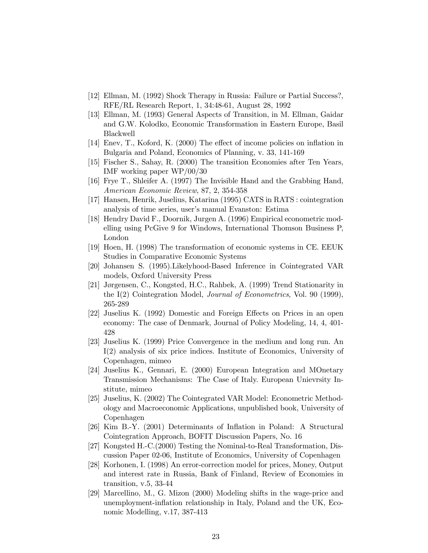- [12] Ellman, M. (1992) Shock Therapy in Russia: Failure or Partial Success?, RFE/RL Research Report, 1, 34:48-61, August 28, 1992
- [13] Ellman, M. (1993) General Aspects of Transition, in M. Ellman, Gaidar and G.W. Kolodko, Economic Transformation in Eastern Europe, Basil Blackwell
- [14] Enev, T., Koford, K. (2000) The effect of income policies on inflation in Bulgaria and Poland, Economics of Planning, v. 33, 141-169
- [15] Fischer S., Sahay, R. (2000) The transition Economies after Ten Years, IMF working paper WP/00/30
- [16] Frye T., Shleifer A. (1997) The Invisible Hand and the Grabbing Hand, American Economic Review, 87, 2, 354-358
- [17] Hansen, Henrik, Juselius, Katarina (1995) CATS in RATS : cointegration analysis of time series, user's manual Evanston: Estima
- [18] Hendry David F., Doornik, Jurgen A. (1996) Empirical econometric modelling using PcGive 9 for Windows, International Thomson Business P, London
- [19] Hoen, H. (1998) The transformation of economic systems in CE. EEUK Studies in Comparative Economic Systems
- [20] Johansen S. (1995).Likelyhood-Based Inference in Cointegrated VAR models, Oxford University Press
- [21] Jørgensen, C., Kongsted, H.C., Rahbek, A. (1999) Trend Stationarity in the I(2) Cointegration Model, Journal of Econometrics, Vol. 90 (1999), 265-289
- [22] Juselius K. (1992) Domestic and Foreign Effects on Prices in an open economy: The case of Denmark, Journal of Policy Modeling, 14, 4, 401- 428
- [23] Juselius K. (1999) Price Convergence in the medium and long run. An I(2) analysis of six price indices. Institute of Economics, University of Copenhagen, mimeo
- [24] Juselius K., Gennari, E. (2000) European Integration and MOnetary Transmission Mechanisms: The Case of Italy. European Unievrsity Institute, mimeo
- [25] Juselius, K. (2002) The Cointegrated VAR Model: Econometric Methodology and Macroeconomic Applications, unpublished book, University of Copenhagen
- [26] Kim B.-Y. (2001) Determinants of Inflation in Poland: A Structural Cointegration Approach, BOFIT Discussion Papers, No. 16
- [27] Kongsted H.-C.(2000) Testing the Nominal-to-Real Transformation, Discussion Paper 02-06, Institute of Economics, University of Copenhagen
- [28] Korhonen, I. (1998) An error-correction model for prices, Money, Output and interest rate in Russia, Bank of Finland, Review of Economies in transition, v.5, 33-44
- [29] Marcellino, M., G. Mizon (2000) Modeling shifts in the wage-price and unemployment-inflation relationship in Italy, Poland and the UK, Economic Modelling, v.17, 387-413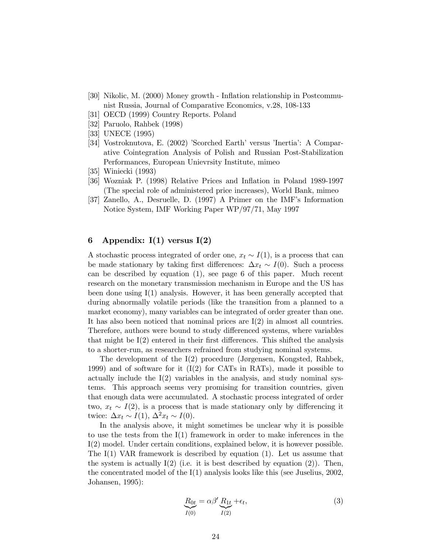- [30] Nikolic, M. (2000) Money growth Inflation relationship in Postcommunist Russia, Journal of Comparative Economics, v.28, 108-133
- [31] OECD (1999) Country Reports. Poland
- [32] Paruolo, Rahbek (1998)
- [33] UNECE (1995)
- [34] Vostroknutova, E. (2002) 'Scorched Earth' versus 'Inertia': A Comparative Cointegration Analysis of Polish and Russian Post-Stabilization Performances, European Unievrsity Institute, mimeo
- [35] Winiecki (1993)
- [36] Wozniak P. (1998) Relative Prices and Inflation in Poland 1989-1997 (The special role of administered price increases), World Bank, mimeo
- [37] Zanello, A., Desruelle, D. (1997) A Primer on the IMF's Information Notice System, IMF Working Paper WP/97/71, May 1997

# 6 Appendix:  $I(1)$  versus  $I(2)$

A stochastic process integrated of order one,  $x_t \sim I(1)$ , is a process that can be made stationary by taking first differences:  $\Delta x_t \sim I(0)$ . Such a process can be described by equation (1), see page 6 of this paper. Much recent research on the monetary transmission mechanism in Europe and the US has been done using I(1) analysis. However, it has been generally accepted that during abnormally volatile periods (like the transition from a planned to a market economy), many variables can be integrated of order greater than one. It has also been noticed that nominal prices are  $I(2)$  in almost all countries. Therefore, authors were bound to study differenced systems, where variables that might be I(2) entered in their first differences. This shifted the analysis to a shorter-run, as researchers refrained from studying nominal systems.

The development of the I(2) procedure (Jørgensen, Kongsted, Rahbek, 1999) and of software for it  $(I(2)$  for CATs in RATs), made it possible to actually include the  $I(2)$  variables in the analysis, and study nominal systems. This approach seems very promising for transition countries, given that enough data were accumulated. A stochastic process integrated of order two,  $x_t \sim I(2)$ , is a process that is made stationary only by differencing it twice:  $\Delta x_t \sim I(1)$ ,  $\Delta^2 x_t \sim I(0)$ .

In the analysis above, it might sometimes be unclear why it is possible to use the tests from the I(1) framework in order to make inferences in the I(2) model. Under certain conditions, explained below, it is however possible. The  $I(1)$  VAR framework is described by equation (1). Let us assume that the system is actually  $I(2)$  (i.e. it is best described by equation (2)). Then, the concentrated model of the I(1) analysis looks like this (see Juselius, 2002, Johansen, 1995):

$$
\underline{R}_{0t} = \alpha \beta' \underbrace{R_{1t}}_{I(2)} + \epsilon_t,\tag{3}
$$